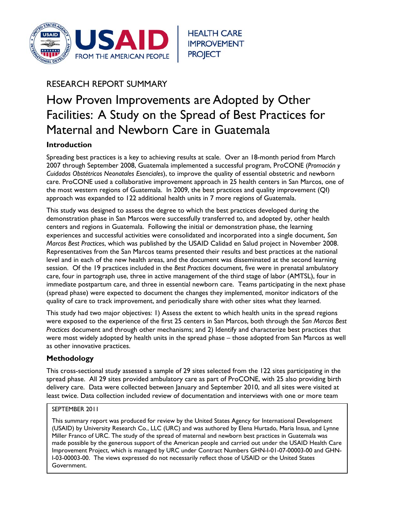

# RESEARCH REPORT SUMMARY

# How Proven Improvements are Adopted by Other Facilities: A Study on the Spread of Best Practices for Maternal and Newborn Care in Guatemala

# **Introduction**

Spreading best practices is a key to achieving results at scale. Over an 18-month period from March 2007 through September 2008, Guatemala implemented a successful program, ProCONE (*Promoción y Cuidados Obstétricos Neonatales Esenciales*), to improve the quality of essential obstetric and newborn care. ProCONE used a collaborative improvement approach in 25 health centers in San Marcos, one of the most western regions of Guatemala. In 2009, the best practices and quality improvement (QI) approach was expanded to 122 additional health units in 7 more regions of Guatemala.

This study was designed to assess the degree to which the best practices developed during the demonstration phase in San Marcos were successfully transferred to, and adopted by, other health centers and regions in Guatemala. Following the initial or demonstration phase, the learning experiences and successful activities were consolidated and incorporated into a single document, *San Marcos Best Practices*, which was published by the USAID Calidad en Salud project in November 2008. Representatives from the San Marcos teams presented their results and best practices at the national level and in each of the new health areas, and the document was disseminated at the second learning session. Of the 19 practices included in the *Best Practices* document, five were in prenatal ambulatory care, four in partograph use, three in active management of the third stage of labor (AMTSL), four in immediate postpartum care, and three in essential newborn care. Teams participating in the next phase (spread phase) were expected to document the changes they implemented, monitor indicators of the quality of care to track improvement, and periodically share with other sites what they learned.

This study had two major objectives: 1) Assess the extent to which health units in the spread regions were exposed to the experience of the first 25 centers in San Marcos, both through the *San Marcos Best Practices* document and through other mechanisms; and 2) Identify and characterize best practices that were most widely adopted by health units in the spread phase – those adopted from San Marcos as well as other innovative practices.

# **Methodology**

This cross-sectional study assessed a sample of 29 sites selected from the 122 sites participating in the spread phase. All 29 sites provided ambulatory care as part of ProCONE, with 25 also providing birth delivery care. Data were collected between January and September 2010, and all sites were visited at least twice. Data collection included review of documentation and interviews with one or more team

#### SEPTEMBER 2011

This summary report was produced for review by the United States Agency for International Development (USAID) by University Research Co., LLC (URC) and was authored by Elena Hurtado, Maria Insua, and Lynne Miller Franco of URC. The study of the spread of maternal and newborn best practices in Guatemala was made possible by the generous support of the American people and carried out under the USAID Health Care Improvement Project, which is managed by URC under Contract Numbers GHN-I-01-07-00003-00 and GHN-I-03-00003-00. The views expressed do not necessarily reflect those of USAID or the United States Government.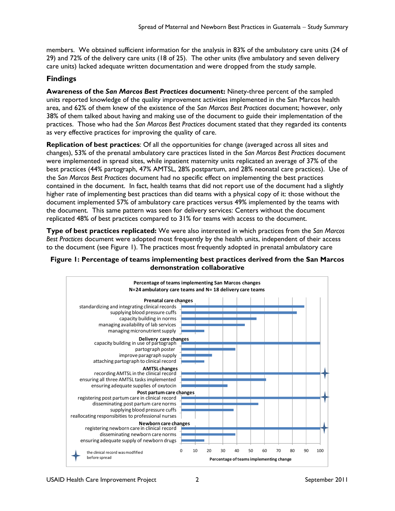members. We obtained sufficient information for the analysis in 83% of the ambulatory care units (24 of 29) and 72% of the delivery care units (18 of 25). The other units (five ambulatory and seven delivery care units) lacked adequate written documentation and were dropped from the study sample.

# **Findings**

**Awareness of the** *San Marcos Best Practices* **document:** Ninety-three percent of the sampled units reported knowledge of the quality improvement activities implemented in the San Marcos health area, and 62% of them knew of the existence of the *San Marcos Best Practices* document; however, only 38% of them talked about having and making use of the document to guide their implementation of the practices. Those who had the *San Marcos Best Practices* document stated that they regarded its contents as very effective practices for improving the quality of care.

**Replication of best practices**: Of all the opportunities for change (averaged across all sites and changes), 53% of the prenatal ambulatory care practices listed in the *San Marcos Best Practices* document were implemented in spread sites, while inpatient maternity units replicated an average of 37% of the best practices (44% partograph, 47% AMTSL, 28% postpartum, and 28% neonatal care practices). Use of the *San Marcos Best Practices* document had no specific effect on implementing the best practices contained in the document. In fact, health teams that did not report use of the document had a slightly higher rate of implementing best practices than did teams with a physical copy of it: those without the document implemented 57% of ambulatory care practices versus 49% implemented by the teams with the document. This same pattern was seen for delivery services: Centers without the document replicated 48% of best practices compared to 31% for teams with access to the document.

**Type of best practices replicated:** We were also interested in which practices from the *San Marcos Best Practices* document were adopted most frequently by the health units, independent of their access to the document (see Figure 1). The practices most frequently adopted in prenatal ambulatory care



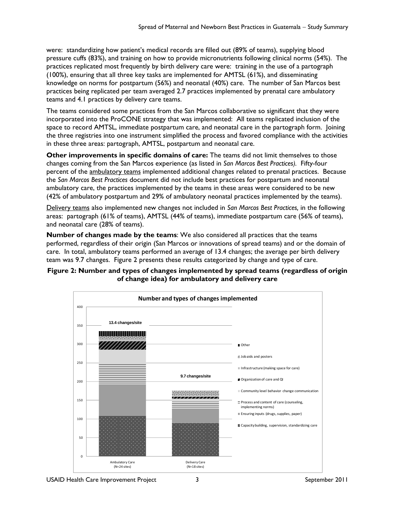were: standardizing how patient's medical records are filled out (89% of teams), supplying blood pressure cuffs (83%), and training on how to provide micronutrients following clinical norms (54%). The practices replicated most frequently by birth delivery care were: training in the use of a partograph (100%), ensuring that all three key tasks are implemented for AMTSL (61%), and disseminating knowledge on norms for postpartum (56%) and neonatal (40%) care. The number of San Marcos best practices being replicated per team averaged 2.7 practices implemented by prenatal care ambulatory teams and 4.1 practices by delivery care teams.

The teams considered some practices from the San Marcos collaborative so significant that they were incorporated into the ProCONE strategy that was implemented: All teams replicated inclusion of the space to record AMTSL, immediate postpartum care, and neonatal care in the partograph form. Joining the three registries into one instrument simplified the process and favored compliance with the activities in these three areas: partograph, AMTSL, postpartum and neonatal care.

**Other improvements in specific domains of care:** The teams did not limit themselves to those changes coming from the San Marcos experience (as listed in *San Marcos Best Practices).* Fifty-four percent of the ambulatory teams implemented additional changes related to prenatal practices. Because the *San Marcos Best Practices* document did not include best practices for postpartum and neonatal ambulatory care, the practices implemented by the teams in these areas were considered to be new (42% of ambulatory postpartum and 29% of ambulatory neonatal practices implemented by the teams).

Delivery teams also implemented new changes not included in *San Marcos Best Practices,* in the following areas: partograph (61% of teams), AMTSL (44% of teams), immediate postpartum care (56% of teams), and neonatal care (28% of teams).

**Number of changes made by the teams**: We also considered all practices that the teams performed, regardless of their origin (San Marcos or innovations of spread teams) and or the domain of care. In total, ambulatory teams performed an average of 13.4 changes; the average per birth delivery team was 9.7 changes. Figure 2 presents these results categorized by change and type of care.

#### **Figure 2: Number and types of changes implemented by spread teams (regardless of origin of change idea) for ambulatory and delivery care**

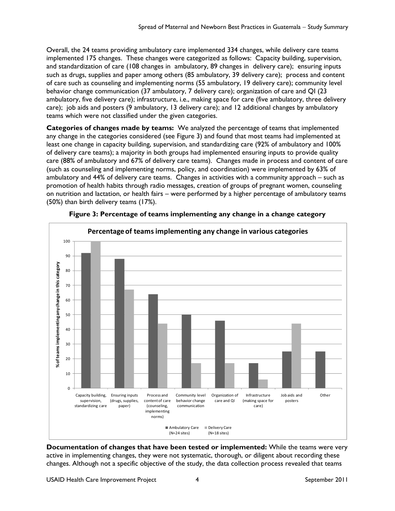Overall, the 24 teams providing ambulatory care implemented 334 changes, while delivery care teams implemented 175 changes. These changes were categorized as follows: Capacity building, supervision, and standardization of care (108 changes in ambulatory, 89 changes in delivery care); ensuring inputs such as drugs, supplies and paper among others (85 ambulatory, 39 delivery care); process and content of care such as counseling and implementing norms (55 ambulatory, 19 delivery care); community level behavior change communication (37 ambulatory, 7 delivery care); organization of care and QI (23 ambulatory, five delivery care); infrastructure, i.e., making space for care (five ambulatory, three delivery care); job aids and posters (9 ambulatory, 13 delivery care); and 12 additional changes by ambulatory teams which were not classified under the given categories.

**Categories of changes made by teams:** We analyzed the percentage of teams that implemented any change in the categories considered (see Figure 3) and found that most teams had implemented at least one change in capacity building, supervision, and standardizing care (92% of ambulatory and 100% of delivery care teams); a majority in both groups had implemented ensuring inputs to provide quality care (88% of ambulatory and 67% of delivery care teams). Changes made in process and content of care (such as counseling and implementing norms, policy, and coordination) were implemented by 63% of ambulatory and 44% of delivery care teams. Changes in activities with a community approach – such as promotion of health habits through radio messages, creation of groups of pregnant women, counseling on nutrition and lactation, or health fairs – were performed by a higher percentage of ambulatory teams (50%) than birth delivery teams (17%).



**Figure 3: Percentage of teams implementing any change in a change category** 

**Documentation of changes that have been tested or implemented:** While the teams were very active in implementing changes, they were not systematic, thorough, or diligent about recording these changes. Although not a specific objective of the study, the data collection process revealed that teams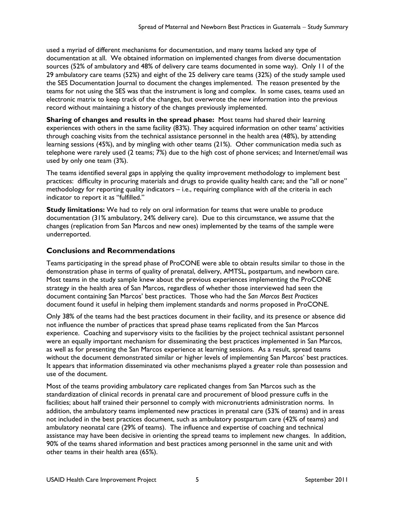used a myriad of different mechanisms for documentation, and many teams lacked any type of documentation at all. We obtained information on implemented changes from diverse documentation sources (52% of ambulatory and 48% of delivery care teams documented in some way). Only 11 of the 29 ambulatory care teams (52%) and eight of the 25 delivery care teams (32%) of the study sample used the SES Documentation Journal to document the changes implemented. The reason presented by the teams for not using the SES was that the instrument is long and complex. In some cases, teams used an electronic matrix to keep track of the changes, but overwrote the new information into the previous record without maintaining a history of the changes previously implemented.

**Sharing of changes and results in the spread phase:** Most teams had shared their learning experiences with others in the same facility (83%). They acquired information on other teams' activities through coaching visits from the technical assistance personnel in the health area (48%), by attending learning sessions (45%), and by mingling with other teams (21%). Other communication media such as telephone were rarely used (2 teams; 7%) due to the high cost of phone services; and Internet/email was used by only one team (3%).

The teams identified several gaps in applying the quality improvement methodology to implement best practices: difficulty in procuring materials and drugs to provide quality health care; and the "all or none" methodology for reporting quality indicators – i.e., requiring compliance with *all* the criteria in each indicator to report it as "fulfilled."

**Study limitations:** We had to rely on oral information for teams that were unable to produce documentation (31% ambulatory, 24% delivery care). Due to this circumstance, we assume that the changes (replication from San Marcos and new ones) implemented by the teams of the sample were underreported.

# **Conclusions and Recommendations**

Teams participating in the spread phase of ProCONE were able to obtain results similar to those in the demonstration phase in terms of quality of prenatal, delivery, AMTSL, postpartum, and newborn care. Most teams in the study sample knew about the previous experiences implementing the ProCONE strategy in the health area of San Marcos, regardless of whether those interviewed had seen the document containing San Marcos' best practices. Those who had the *San Marcos Best Practices* document found it useful in helping them implement standards and norms proposed in ProCONE.

Only 38% of the teams had the best practices document in their facility, and its presence or absence did not influence the number of practices that spread phase teams replicated from the San Marcos experience. Coaching and supervisory visits to the facilities by the project technical assistant personnel were an equally important mechanism for disseminating the best practices implemented in San Marcos, as well as for presenting the San Marcos experience at learning sessions. As a result, spread teams without the document demonstrated similar or higher levels of implementing San Marcos' best practices. It appears that information disseminated via other mechanisms played a greater role than possession and use of the document.

Most of the teams providing ambulatory care replicated changes from San Marcos such as the standardization of clinical records in prenatal care and procurement of blood pressure cuffs in the facilities; about half trained their personnel to comply with micronutrients administration norms. In addition, the ambulatory teams implemented new practices in prenatal care (53% of teams) and in areas not included in the best practices document, such as ambulatory postpartum care (42% of teams) and ambulatory neonatal care (29% of teams). The influence and expertise of coaching and technical assistance may have been decisive in orienting the spread teams to implement new changes. In addition, 90% of the teams shared information and best practices among personnel in the same unit and with other teams in their health area (65%).